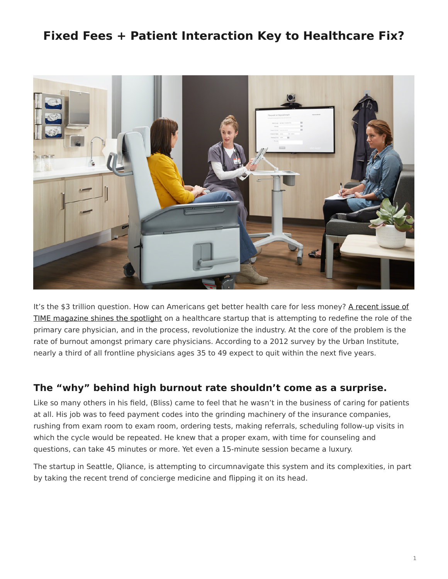## <span id="page-0-0"></span>**Fixed Fees + Patient Interaction Key to Healthcare Fix?**



It's the \$3 trillion question. How can Americans get better health care for less money? [A recent issue of](http://time.com/3643841/medicine-gets-personal/) [TIME magazine shines the spotlight](http://time.com/3643841/medicine-gets-personal/) on a healthcare startup that is attempting to redefine the role of the primary care physician, and in the process, revolutionize the industry. At the core of the problem is the rate of burnout amongst primary care physicians. According to a 2012 survey by the Urban Institute, nearly a third of all frontline physicians ages 35 to 49 expect to quit within the next five years.

## **The "why" behind high burnout rate shouldn't come as a surprise.**

Like so many others in his field, (Bliss) came to feel that he wasn't in the business of caring for patients at all. His job was to feed payment codes into the grinding machinery of the insurance companies, rushing from exam room to exam room, ordering tests, making referrals, scheduling follow-up visits in which the cycle would be repeated. He knew that a proper exam, with time for counseling and questions, can take 45 minutes or more. Yet even a 15-minute session became a luxury.

The startup in Seattle, Qliance, is attempting to circumnavigate this system and its complexities, in part by taking the recent trend of concierge medicine and flipping it on its head.